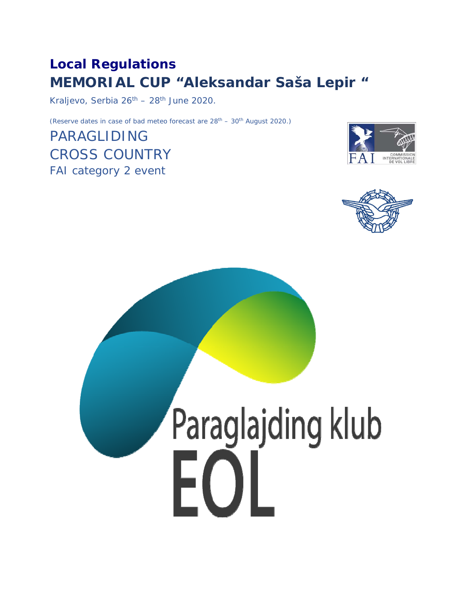# **Local Regulations MEMORIAL CUP "Aleksandar Saša Lepir "**

Kraljevo, Serbia  $26^{th}$  –  $28^{th}$  June 2020.

(Reserve dates in case of bad meteo forecast are  $28<sup>th</sup> - 30<sup>th</sup>$  August 2020.)

PARAGLIDING CROSS COUNTRY FAI category 2 event





# Paraglajding klub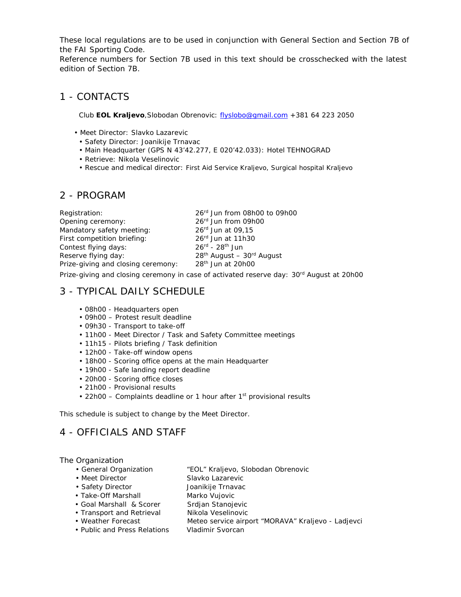These local regulations are to be used in conjunction with General Section and Section 7B of the FAI Sporting Code.

Reference numbers for Section 7B used in this text should be crosschecked with the latest edition of Section 7B.

#### 1 - CONTACTS

Club **EOL Kraljevo**,Slobodan Obrenovic: flyslobo@gmail.com +381 64 223 2050

- Meet Director: Slavko Lazarevic
	- Safety Director: Joanikije Trnavac
- Main Headquarter (GPS N 43'42.277, E 020'42.033): Hotel TEHNOGRAD
- Retrieve: Nikola Veselinovic
- Rescue and medical director: First Aid Service Kraljevo, Surgical hospital Kraljevo

#### 2 - PROGRAM

| Registration:                      | 26rd Jun from 08h00 to 09h00            |
|------------------------------------|-----------------------------------------|
| Opening ceremony:                  | 26 <sup>rd</sup> Jun from 09h00         |
| Mandatory safety meeting:          | $26^{rd}$ Jun at 09,15                  |
| First competition briefing:        | $26rd$ Jun at 11h30                     |
| Contest flying days:               | $26^{\text{rd}}$ - $28^{\text{th}}$ Jun |
| Reserve flying day:                | $28th$ August - $30rd$ August           |
| Prize-giving and closing ceremony: | 28 <sup>th</sup> Jun at 20h00           |
|                                    |                                         |

Prize-giving and closing ceremony in case of activated reserve day: 30<sup>rd</sup> August at 20h00

# 3 - TYPICAL DAILY SCHEDULE

- 08h00 Headquarters open
- 09h00 Protest result deadline
- 09h30 Transport to take-off
- 11h00 Meet Director / Task and Safety Committee meetings
- 11h15 Pilots briefing / Task definition
- 12h00 Take-off window opens
- 18h00 Scoring office opens at the main Headquarter
- 19h00 Safe landing report deadline
- 20h00 Scoring office closes
- 21h00 Provisional results
- 22h00 Complaints deadline or 1 hour after  $1<sup>st</sup>$  provisional results

This schedule is subject to change by the Meet Director.

# 4 - OFFICIALS AND STAFF

#### The Organization

- General Organization "EOL" Kraljevo, Slobodan Obrenovic
- Meet Director Slavko Lazarevic
- Safety Director **Joanikije Trnavac**
- Take-Off Marshall Marko Vujovic
- Goal Marshall & Scorer Srdjan Stanojevic
	-
- 
- 
- Weather Forecast Meteo service airport "MORAVA" Kraljevo Ladjevci
- Public and Press Relations Vladimir Svorcan
- Transport and Retrieval Mikola Veselinovic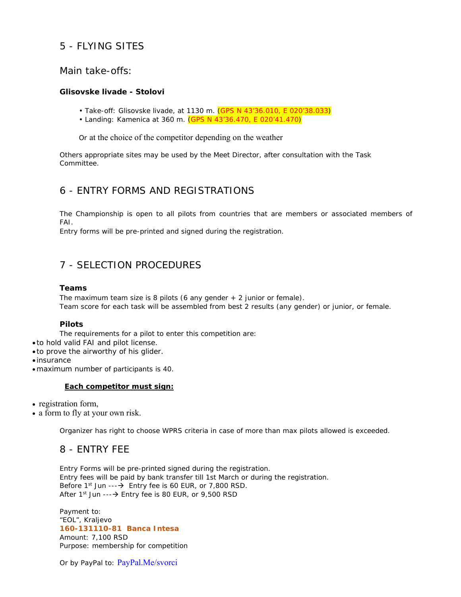# 5 - FLYING SITES

#### Main take-offs:

#### **Glisovske livade - Stolovi**

- Take-off: Glisovske livade, at 1130 m. (GPS N 43'36.010, E 020'38.033)
- Landing: Kamenica at 360 m. (GPS N 43'36.470, E 020'41.470)

Or at the choice of the competitor depending on the weather

Others appropriate sites may be used by the Meet Director, after consultation with the Task Committee.

#### 6 - ENTRY FORMS AND REGISTRATIONS

The Championship is open to all pilots from countries that are members or associated members of FAI.

Entry forms will be pre-printed and signed during the registration.

# 7 - SELECTION PROCEDURES

#### **Teams**

The maximum team size is 8 pilots (6 any gender  $+2$  junior or female). Team score for each task will be assembled from best 2 results (any gender) or junior, or female.

#### **Pilots**

The requirements for a pilot to enter this competition are:

- to hold valid FAI and pilot license.
- to prove the airworthy of his glider.

insurance

maximum number of participants is 40.

#### **Each competitor must sign:**

- registration form,
- a form to fly at your own risk.

Organizer has right to choose WPRS criteria in case of more than max pilots allowed is exceeded.

#### 8 - ENTRY FEE

Entry Forms will be pre-printed signed during the registration. Entry fees will be paid by bank transfer till 1st March or during the registration. Before  $1^{st}$  Jun --- $\rightarrow$  Entry fee is 60 EUR, or 7,800 RSD. After  $1^{st}$  Jun --- $\rightarrow$  Entry fee is 80 EUR, or 9,500 RSD

Payment to: "EOL", Kraljevo **160-131110-81 Banca Intesa**  Amount: 7,100 RSD Purpose: membership for competition

Or by PayPal to: PayPal.Me/svorci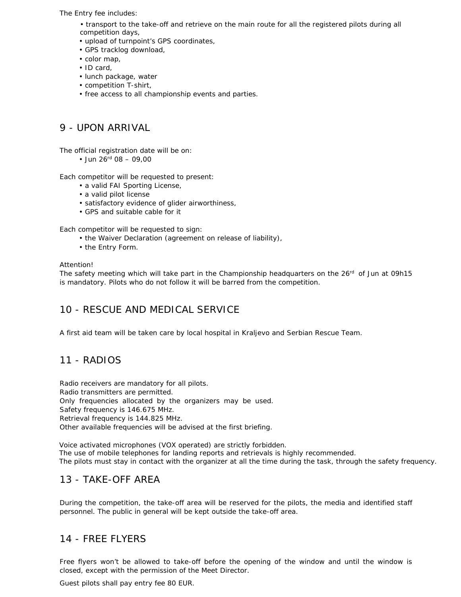The Entry fee includes:

- transport to the take-off and retrieve on the main route for all the registered pilots during all competition days,
- upload of turnpoint's GPS coordinates,
- GPS tracklog download,
- color map,
- ID card,
- lunch package, water
- competition T-shirt,
- free access to all championship events and parties.

# 9 - UPON ARRIVAL

The official registration date will be on:

• Jun  $26^{\text{rd}}$  08 – 09.00

Each competitor will be requested to present:

- a valid FAI Sporting License,
- a valid pilot license
- satisfactory evidence of glider airworthiness,
- GPS and suitable cable for it

Each competitor will be requested to sign:

- the Waiver Declaration (agreement on release of liability),
- the Entry Form.

Attention!

The safety meeting which will take part in the Championship headquarters on the 26<sup>rd</sup> of Jun at 09h15 is mandatory. Pilots who do not follow it will be barred from the competition.

# 10 - RESCUE AND MEDICAL SERVICE

A first aid team will be taken care by local hospital in Kraljevo and Serbian Rescue Team.

#### 11 - RADIOS

Radio receivers are mandatory for all pilots. Radio transmitters are permitted. Only frequencies allocated by the organizers may be used. Safety frequency is 146.675 MHz. Retrieval frequency is 144.825 MHz. Other available frequencies will be advised at the first briefing.

Voice activated microphones (VOX operated) are strictly forbidden. The use of mobile telephones for landing reports and retrievals is highly recommended. The pilots must stay in contact with the organizer at all the time during the task, through the safety frequency.

# 13 - TAKE-OFF AREA

During the competition, the take-off area will be reserved for the pilots, the media and identified staff personnel. The public in general will be kept outside the take-off area.

#### 14 - FREE FLYERS

Free flyers won't be allowed to take-off before the opening of the window and until the window is closed, except with the permission of the Meet Director.

Guest pilots shall pay entry fee 80 EUR.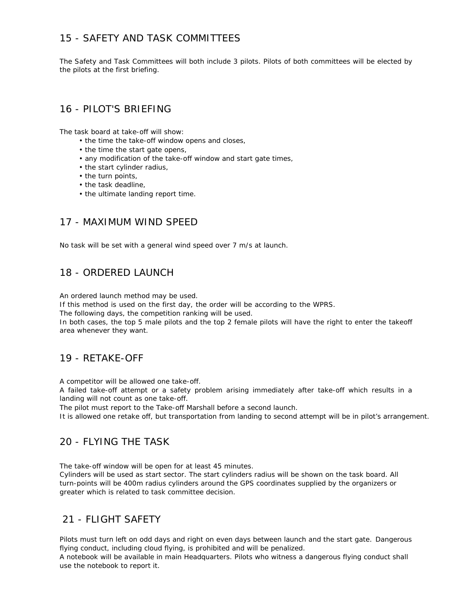# 15 - SAFETY AND TASK COMMITTEES

The Safety and Task Committees will both include 3 pilots. Pilots of both committees will be elected by the pilots at the first briefing.

#### 16 - PILOT'S BRIEFING

The task board at take-off will show:

- the time the take-off window opens and closes,
- the time the start gate opens,
- any modification of the take-off window and start gate times,
- the start cylinder radius,
- the turn points,
- the task deadline,
- the ultimate landing report time.

#### 17 - MAXIMUM WIND SPEED

No task will be set with a general wind speed over 7 m/s at launch.

#### 18 - ORDERED LAUNCH

An ordered launch method may be used.

If this method is used on the first day, the order will be according to the WPRS.

The following days, the competition ranking will be used.

In both cases, the top 5 male pilots and the top 2 female pilots will have the right to enter the takeoff area whenever they want.

#### 19 - RETAKE-OFF

A competitor will be allowed one take-off.

A failed take-off attempt or a safety problem arising immediately after take-off which results in a landing will not count as one take-off.

The pilot must report to the Take-off Marshall before a second launch.

It is allowed one retake off, but transportation from landing to second attempt will be in pilot's arrangement.

#### 20 - FLYING THE TASK

The take-off window will be open for at least 45 minutes.

Cylinders will be used as start sector. The start cylinders radius will be shown on the task board. All turn-points will be 400m radius cylinders around the GPS coordinates supplied by the organizers or greater which is related to task committee decision.

# 21 - FLIGHT SAFETY

Pilots must turn left on odd days and right on even days between launch and the start gate. Dangerous flying conduct, including cloud flying, is prohibited and will be penalized.

A notebook will be available in main Headquarters. Pilots who witness a dangerous flying conduct shall use the notebook to report it.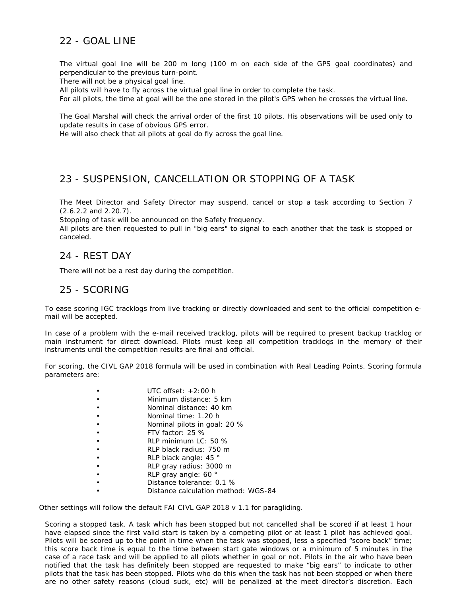# 22 - GOAL LINE

The virtual goal line will be 200 m long (100 m on each side of the GPS goal coordinates) and perpendicular to the previous turn-point.

There will not be a physical goal line.

All pilots will have to fly across the virtual goal line in order to complete the task.

For all pilots, the time at goal will be the one stored in the pilot's GPS when he crosses the virtual line.

The Goal Marshal will check the arrival order of the first 10 pilots. His observations will be used only to update results in case of obvious GPS error.

He will also check that all pilots at goal do fly across the goal line.

# 23 - SUSPENSION, CANCELLATION OR STOPPING OF A TASK

The Meet Director and Safety Director may suspend, cancel or stop a task according to Section 7 (2.6.2.2 and 2.20.7).

Stopping of task will be announced on the Safety frequency.

All pilots are then requested to pull in "big ears" to signal to each another that the task is stopped or canceled.

#### 24 - REST DAY

There will not be a rest day during the competition.

#### 25 - SCORING

To ease scoring IGC tracklogs from live tracking or directly downloaded and sent to the official competition email will be accepted.

In case of a problem with the e-mail received tracklog, pilots will be required to present backup tracklog or main instrument for direct download. Pilots must keep all competition tracklogs in the memory of their instruments until the competition results are final and official.

For scoring, the CIVL GAP 2018 formula will be used in combination with Real Leading Points. Scoring formula parameters are:

| UTC offset: $+2:00$ h               |
|-------------------------------------|
| Minimum distance: 5 km              |
| Nominal distance: 40 km             |
| Nominal time: 1.20 h                |
| Nominal pilots in goal: 20 %        |
| FTV factor: $25\%$                  |
| RLP minimum $LC: 50 \%$             |
| RLP black radius: 750 m             |
| RLP black angle: 45 °               |
| RLP gray radius: 3000 m             |
| RLP gray angle: 60 °                |
| Distance tolerance: 0.1 %           |
| Distance calculation method: WGS-84 |

Other settings will follow the default FAI CIVL GAP 2018 v 1.1 for paragliding.

Scoring a stopped task. A task which has been stopped but not cancelled shall be scored if at least 1 hour have elapsed since the first valid start is taken by a competing pilot or at least 1 pilot has achieved goal. Pilots will be scored up to the point in time when the task was stopped, less a specified "score back" time; this score back time is equal to the time between start gate windows or a minimum of 5 minutes in the case of a race task and will be applied to all pilots whether in goal or not. Pilots in the air who have been notified that the task has definitely been stopped are requested to make "big ears" to indicate to other pilots that the task has been stopped. Pilots who do this when the task has not been stopped or when there are no other safety reasons (cloud suck, etc) will be penalized at the meet director's discretion. Each